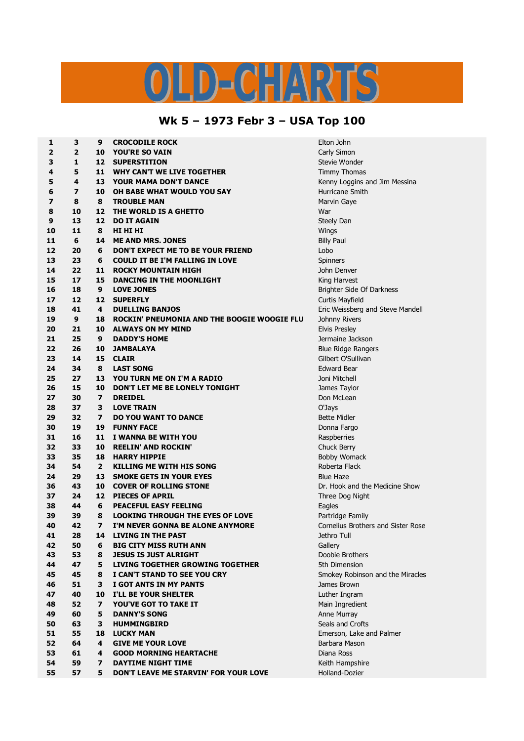## D-CHARTS

## **Wk 5 – 1973 Febr 3 – USA Top 100**

| 1                       | 3              | 9              | <b>CROCODILE ROCK</b>                                           | Elton John                           |
|-------------------------|----------------|----------------|-----------------------------------------------------------------|--------------------------------------|
| 2                       | $\overline{2}$ | 10             | <b>YOU'RE SO VAIN</b>                                           | Carly Simon                          |
| 3                       | 1              | 12             | <b>SUPERSTITION</b>                                             | Stevie Wonder                        |
| 4                       | 5              | 11             | <b>WHY CAN'T WE LIVE TOGETHER</b>                               | <b>Timmy Thomas</b>                  |
| 5                       | 4              | 13             | <b>YOUR MAMA DON'T DANCE</b>                                    | Kenny Loggins and Jim Messina        |
| 6                       | 7              | 10             | OH BABE WHAT WOULD YOU SAY                                      | Hurricane Smith                      |
| $\overline{\mathbf{z}}$ | 8              | 8              | <b>TROUBLE MAN</b>                                              | Marvin Gaye                          |
| 8                       | 10             | 12             | THE WORLD IS A GHETTO                                           | War                                  |
| 9                       | 13             | 12             | <b>DO IT AGAIN</b>                                              | Steely Dan                           |
| 10                      | 11             | 8              | HI HI HI                                                        | Wings                                |
| 11                      | 6              | 14             | <b>ME AND MRS. JONES</b>                                        | <b>Billy Paul</b>                    |
| 12                      | 20             | 6              | DON'T EXPECT ME TO BE YOUR FRIEND                               | Lobo                                 |
| 13                      | 23             | 6              | <b>COULD IT BE I'M FALLING IN LOVE</b>                          | Spinners                             |
| 14                      | 22             | 11             | <b>ROCKY MOUNTAIN HIGH</b>                                      | John Denver                          |
| 15                      | 17             | 15             | <b>DANCING IN THE MOONLIGHT</b>                                 | King Harvest                         |
| 16                      | 18             | 9              | <b>LOVE JONES</b>                                               | Brighter Side Of Darkness            |
| 17                      | 12             | 12             | <b>SUPERFLY</b>                                                 | Curtis Mayfield                      |
| 18                      | 41             | 4              | <b>DUELLING BANJOS</b>                                          | Eric Weissberg and Steve Mandell     |
| 19                      | 9              | 18             | ROCKIN' PNEUMONIA AND THE BOOGIE WOOGIE FLU                     | Johnny Rivers                        |
| 20                      | 21             | 10             | <b>ALWAYS ON MY MIND</b>                                        | <b>Elvis Presley</b>                 |
| 21                      | 25             | 9              | <b>DADDY'S HOME</b>                                             | Jermaine Jackson                     |
| 22                      | 26             | 10             | <b>JAMBALAYA</b>                                                | <b>Blue Ridge Rangers</b>            |
| 23                      | 14             | 15             | <b>CLAIR</b>                                                    | Gilbert O'Sullivan                   |
| 24                      | 34             | 8              | <b>LAST SONG</b>                                                | <b>Edward Bear</b>                   |
| 25                      | 27             | 13             | YOU TURN ME ON I'M A RADIO                                      | Joni Mitchell                        |
| 26                      | 15             | 10             | DON'T LET ME BE LONELY TONIGHT                                  |                                      |
| 27                      | 30             | $\overline{ }$ | <b>DREIDEL</b>                                                  | James Taylor<br>Don McLean           |
| 28                      |                | 3              | <b>LOVE TRAIN</b>                                               |                                      |
| 29                      | 37<br>32       | $\overline{ }$ | <b>DO YOU WANT TO DANCE</b>                                     | O'Jays                               |
| 30                      | 19             | 19             | <b>FUNNY FACE</b>                                               | <b>Bette Midler</b>                  |
| 31                      | 16             | 11             | I WANNA BE WITH YOU                                             | Donna Fargo                          |
| 32                      | 33             | 10             |                                                                 | Raspberries<br>Chuck Berry           |
| 33                      | 35             | 18             | <b>REELIN' AND ROCKIN'</b><br><b>HARRY HIPPIE</b>               |                                      |
| 34                      | 54             | $\overline{2}$ | <b>KILLING ME WITH HIS SONG</b>                                 | <b>Bobby Womack</b><br>Roberta Flack |
|                         |                |                |                                                                 |                                      |
| 24                      | 29<br>43       | 13             | <b>SMOKE GETS IN YOUR EYES</b><br><b>COVER OF ROLLING STONE</b> | <b>Blue Haze</b>                     |
| 36                      |                | 10             |                                                                 | Dr. Hook and the Medicine Show       |
| 37                      | 24             | 12             | <b>PIECES OF APRIL</b>                                          | Three Dog Night                      |
| 38                      | 44             | 6              | <b>PEACEFUL EASY FEELING</b>                                    | Eagles                               |
| 39                      | 39             | 8              | <b>LOOKING THROUGH THE EYES OF LOVE</b>                         | Partridge Family                     |
| 40                      | 42             | 7              | I'M NEVER GONNA BE ALONE ANYMORE                                | Cornelius Brothers and Sister Rose   |
| 41                      | 28             |                | 14 LIVING IN THE PAST                                           | Jethro Tull                          |
| 42                      | 50             | 6              | <b>BIG CITY MISS RUTH ANN</b>                                   | Gallery                              |
| 43                      | 53             | 8              | <b>JESUS IS JUST ALRIGHT</b>                                    | Doobie Brothers                      |
| 44                      | 47             | 5              | <b>LIVING TOGETHER GROWING TOGETHER</b>                         | 5th Dimension                        |
| 45                      | 45             | 8              | I CAN'T STAND TO SEE YOU CRY                                    | Smokey Robinson and the Miracles     |
| 46                      | 51             | з              | I GOT ANTS IN MY PANTS                                          | James Brown                          |
| 47                      | 40             | 10             | I'LL BE YOUR SHELTER                                            | Luther Ingram                        |
| 48                      | 52             | 7              | <b>YOU'VE GOT TO TAKE IT</b>                                    | Main Ingredient                      |
| 49                      | 60             | 5              | <b>DANNY'S SONG</b>                                             | Anne Murray                          |
| 50                      | 63             | 3              | <b>HUMMINGBIRD</b>                                              | Seals and Crofts                     |
| 51                      | 55             | 18             | <b>LUCKY MAN</b>                                                | Emerson, Lake and Palmer             |
| 52                      | 64             | 4              | <b>GIVE ME YOUR LOVE</b>                                        | Barbara Mason                        |
| 53                      | 61             | 4              | <b>GOOD MORNING HEARTACHE</b>                                   | Diana Ross                           |
| 54                      | 59             | 7              | <b>DAYTIME NIGHT TIME</b>                                       | Keith Hampshire                      |
| 55                      | 57             | 5              | DON'T LEAVE ME STARVIN' FOR YOUR LOVE                           | Holland-Dozier                       |